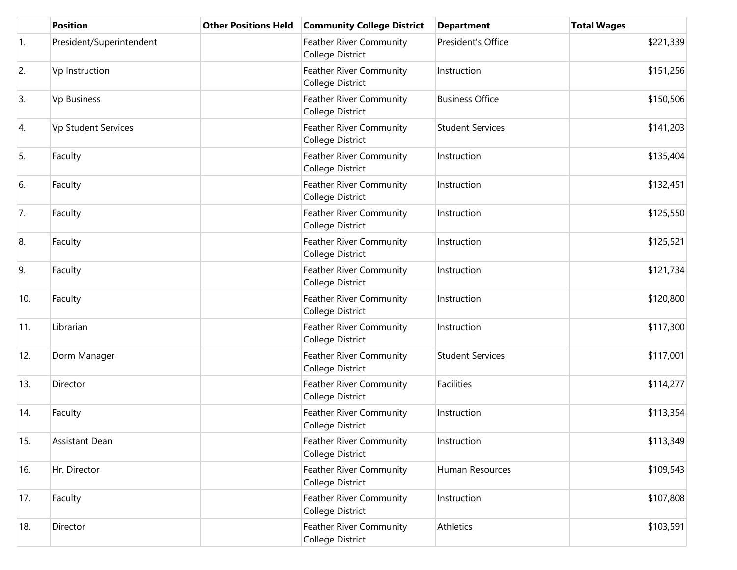|     | <b>Position</b>          | <b>Other Positions Held</b> | <b>Community College District</b>                  | <b>Department</b>       | <b>Total Wages</b> |
|-----|--------------------------|-----------------------------|----------------------------------------------------|-------------------------|--------------------|
| 1.  | President/Superintendent |                             | Feather River Community<br>College District        | President's Office      | \$221,339          |
| 2.  | Vp Instruction           |                             | <b>Feather River Community</b><br>College District | Instruction             | \$151,256          |
| 3.  | Vp Business              |                             | <b>Feather River Community</b><br>College District | <b>Business Office</b>  | \$150,506          |
| 4.  | Vp Student Services      |                             | Feather River Community<br>College District        | <b>Student Services</b> | \$141,203          |
| 5.  | Faculty                  |                             | Feather River Community<br>College District        | Instruction             | \$135,404          |
| 6.  | Faculty                  |                             | <b>Feather River Community</b><br>College District | Instruction             | \$132,451          |
| 7.  | Faculty                  |                             | Feather River Community<br>College District        | Instruction             | \$125,550          |
| 8.  | Faculty                  |                             | Feather River Community<br>College District        | Instruction             | \$125,521          |
| 9.  | Faculty                  |                             | Feather River Community<br>College District        | Instruction             | \$121,734          |
| 10. | Faculty                  |                             | <b>Feather River Community</b><br>College District | Instruction             | \$120,800          |
| 11. | Librarian                |                             | Feather River Community<br>College District        | Instruction             | \$117,300          |
| 12. | Dorm Manager             |                             | <b>Feather River Community</b><br>College District | <b>Student Services</b> | \$117,001          |
| 13. | Director                 |                             | Feather River Community<br>College District        | <b>Facilities</b>       | \$114,277          |
| 14. | Faculty                  |                             | Feather River Community<br>College District        | Instruction             | \$113,354          |
| 15. | Assistant Dean           |                             | <b>Feather River Community</b><br>College District | Instruction             | \$113,349          |
| 16. | Hr. Director             |                             | Feather River Community<br>College District        | Human Resources         | \$109,543          |
| 17. | Faculty                  |                             | Feather River Community<br>College District        | Instruction             | \$107,808          |
| 18. | Director                 |                             | Feather River Community<br>College District        | Athletics               | \$103,591          |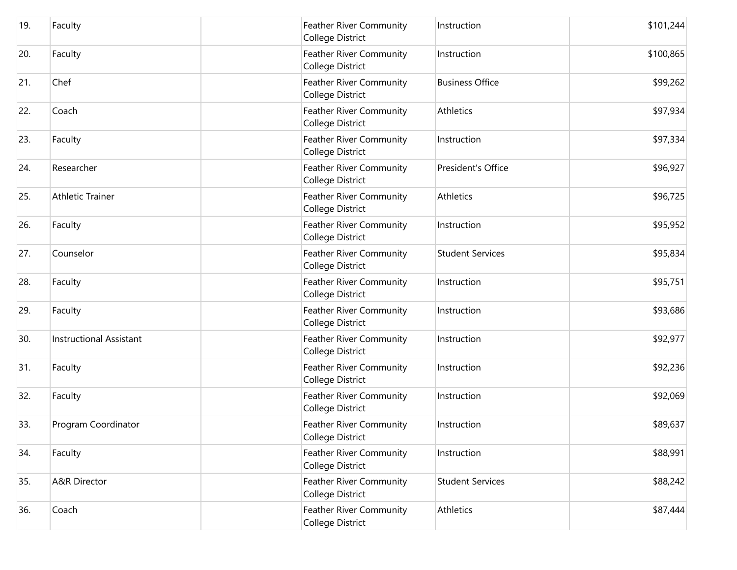| 19. | Faculty                        | <b>Feather River Community</b><br>College District | Instruction             | \$101,244 |
|-----|--------------------------------|----------------------------------------------------|-------------------------|-----------|
| 20. | Faculty                        | Feather River Community<br><b>College District</b> | Instruction             | \$100,865 |
| 21. | Chef                           | <b>Feather River Community</b><br>College District | <b>Business Office</b>  | \$99,262  |
| 22. | Coach                          | <b>Feather River Community</b><br>College District | Athletics               | \$97,934  |
| 23. | Faculty                        | Feather River Community<br>College District        | Instruction             | \$97,334  |
| 24. | Researcher                     | Feather River Community<br>College District        | President's Office      | \$96,927  |
| 25. | <b>Athletic Trainer</b>        | Feather River Community<br>College District        | Athletics               | \$96,725  |
| 26. | Faculty                        | <b>Feather River Community</b><br>College District | Instruction             | \$95,952  |
| 27. | Counselor                      | Feather River Community<br><b>College District</b> | <b>Student Services</b> | \$95,834  |
| 28. | Faculty                        | Feather River Community<br>College District        | Instruction             | \$95,751  |
| 29. | Faculty                        | Feather River Community<br>College District        | Instruction             | \$93,686  |
| 30. | <b>Instructional Assistant</b> | Feather River Community<br><b>College District</b> | Instruction             | \$92,977  |
| 31. | Faculty                        | <b>Feather River Community</b><br>College District | Instruction             | \$92,236  |
| 32. | Faculty                        | Feather River Community<br>College District        | Instruction             | \$92,069  |
| 33. | Program Coordinator            | Feather River Community<br>College District        | Instruction             | \$89,637  |
| 34. | Faculty                        | Feather River Community<br>College District        | Instruction             | \$88,991  |
| 35. | A&R Director                   | Feather River Community<br>College District        | <b>Student Services</b> | \$88,242  |
| 36. | Coach                          | Feather River Community<br>College District        | Athletics               | \$87,444  |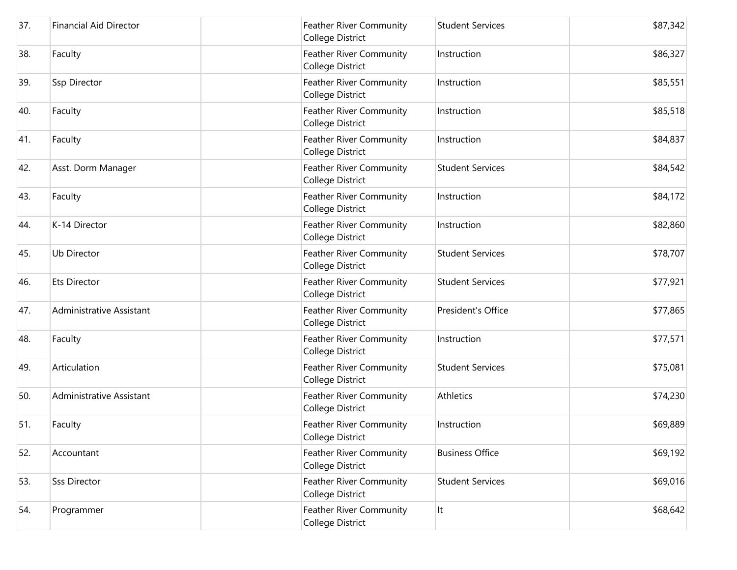| 37. | <b>Financial Aid Director</b> | Feather River Community<br>College District        | <b>Student Services</b> | \$87,342 |
|-----|-------------------------------|----------------------------------------------------|-------------------------|----------|
| 38. | Faculty                       | Feather River Community<br>College District        | Instruction             | \$86,327 |
| 39. | Ssp Director                  | Feather River Community<br>College District        | Instruction             | \$85,551 |
| 40. | Faculty                       | <b>Feather River Community</b><br>College District | Instruction             | \$85,518 |
| 41. | Faculty                       | Feather River Community<br>College District        | Instruction             | \$84,837 |
| 42. | Asst. Dorm Manager            | Feather River Community<br>College District        | <b>Student Services</b> | \$84,542 |
| 43. | Faculty                       | Feather River Community<br>College District        | Instruction             | \$84,172 |
| 44. | K-14 Director                 | Feather River Community<br>College District        | Instruction             | \$82,860 |
| 45. | <b>Ub Director</b>            | Feather River Community<br>College District        | <b>Student Services</b> | \$78,707 |
| 46. | <b>Ets Director</b>           | Feather River Community<br>College District        | <b>Student Services</b> | \$77,921 |
| 47. | Administrative Assistant      | <b>Feather River Community</b><br>College District | President's Office      | \$77,865 |
| 48. | Faculty                       | Feather River Community<br>College District        | Instruction             | \$77,571 |
| 49. | Articulation                  | <b>Feather River Community</b><br>College District | <b>Student Services</b> | \$75,081 |
| 50. | Administrative Assistant      | Feather River Community<br>College District        | Athletics               | \$74,230 |
| 51. | Faculty                       | Feather River Community<br>College District        | Instruction             | \$69,889 |
| 52. | Accountant                    | Feather River Community<br>College District        | <b>Business Office</b>  | \$69,192 |
| 53. | <b>Sss Director</b>           | Feather River Community<br>College District        | <b>Student Services</b> | \$69,016 |
| 54. | Programmer                    | Feather River Community<br>College District        | It                      | \$68,642 |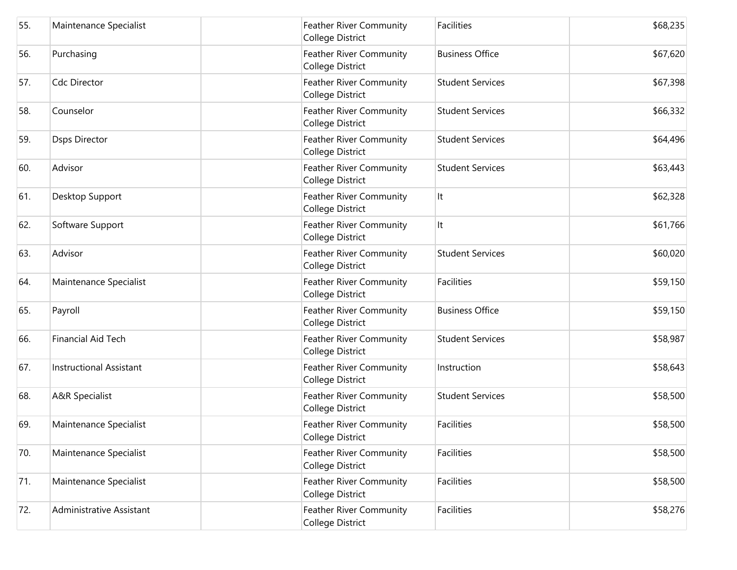| 55. | Maintenance Specialist         | Feather River Community<br>College District               | Facilities              | \$68,235 |
|-----|--------------------------------|-----------------------------------------------------------|-------------------------|----------|
| 56. | Purchasing                     | Feather River Community<br>College District               | <b>Business Office</b>  | \$67,620 |
| 57. | Cdc Director                   | Feather River Community<br>College District               | <b>Student Services</b> | \$67,398 |
| 58. | Counselor                      | Feather River Community<br>College District               | <b>Student Services</b> | \$66,332 |
| 59. | <b>Dsps Director</b>           | Feather River Community<br>College District               | <b>Student Services</b> | \$64,496 |
| 60. | Advisor                        | <b>Feather River Community</b><br>College District        | <b>Student Services</b> | \$63,443 |
| 61. | Desktop Support                | Feather River Community<br>College District               | It                      | \$62,328 |
| 62. | Software Support               | Feather River Community<br>College District               | It                      | \$61,766 |
| 63. | Advisor                        | Feather River Community<br>College District               | <b>Student Services</b> | \$60,020 |
| 64. | Maintenance Specialist         | Feather River Community<br>College District               | <b>Facilities</b>       | \$59,150 |
| 65. | Payroll                        | <b>Feather River Community</b><br><b>College District</b> | <b>Business Office</b>  | \$59,150 |
| 66. | Financial Aid Tech             | Feather River Community<br>College District               | <b>Student Services</b> | \$58,987 |
| 67. | <b>Instructional Assistant</b> | <b>Feather River Community</b><br>College District        | Instruction             | \$58,643 |
| 68. | <b>A&amp;R Specialist</b>      | Feather River Community<br>College District               | <b>Student Services</b> | \$58,500 |
| 69. | Maintenance Specialist         | <b>Feather River Community</b><br>College District        | Facilities              | \$58,500 |
| 70. | Maintenance Specialist         | Feather River Community<br>College District               | <b>Facilities</b>       | \$58,500 |
| 71. | Maintenance Specialist         | Feather River Community<br>College District               | <b>Facilities</b>       | \$58,500 |
| 72. | Administrative Assistant       | Feather River Community<br>College District               | <b>Facilities</b>       | \$58,276 |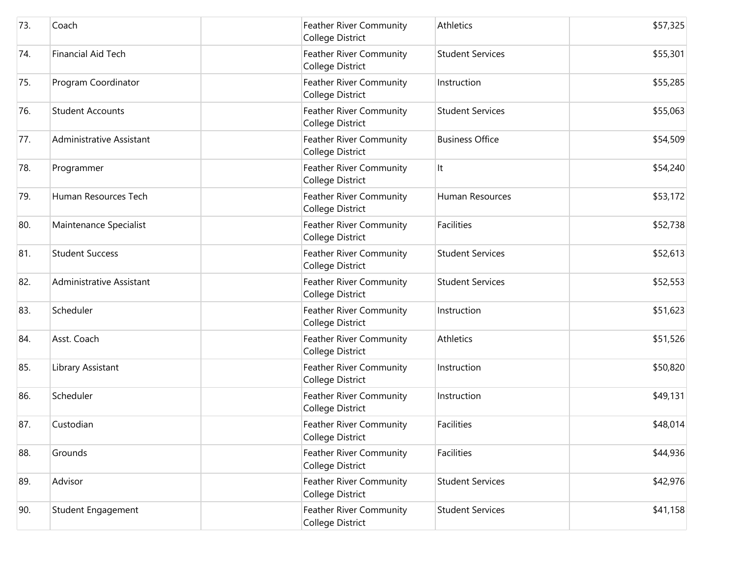| 73. | Coach                    | Feather River Community<br>College District        | Athletics               | \$57,325 |
|-----|--------------------------|----------------------------------------------------|-------------------------|----------|
| 74. | Financial Aid Tech       | Feather River Community<br>College District        | <b>Student Services</b> | \$55,301 |
| 75. | Program Coordinator      | Feather River Community<br>College District        | Instruction             | \$55,285 |
| 76. | <b>Student Accounts</b>  | Feather River Community<br>College District        | <b>Student Services</b> | \$55,063 |
| 77. | Administrative Assistant | Feather River Community<br>College District        | <b>Business Office</b>  | \$54,509 |
| 78. | Programmer               | <b>Feather River Community</b><br>College District | It                      | \$54,240 |
| 79. | Human Resources Tech     | Feather River Community<br>College District        | Human Resources         | \$53,172 |
| 80. | Maintenance Specialist   | Feather River Community<br>College District        | Facilities              | \$52,738 |
| 81. | <b>Student Success</b>   | Feather River Community<br>College District        | <b>Student Services</b> | \$52,613 |
| 82. | Administrative Assistant | Feather River Community<br>College District        | <b>Student Services</b> | \$52,553 |
| 83. | Scheduler                | <b>Feather River Community</b><br>College District | Instruction             | \$51,623 |
| 84. | Asst. Coach              | Feather River Community<br>College District        | Athletics               | \$51,526 |
| 85. | Library Assistant        | <b>Feather River Community</b><br>College District | Instruction             | \$50,820 |
| 86. | Scheduler                | Feather River Community<br>College District        | Instruction             | \$49,131 |
| 87. | Custodian                | <b>Feather River Community</b><br>College District | Facilities              | \$48,014 |
| 88. | Grounds                  | Feather River Community<br>College District        | <b>Facilities</b>       | \$44,936 |
| 89. | Advisor                  | Feather River Community<br>College District        | <b>Student Services</b> | \$42,976 |
| 90. | Student Engagement       | Feather River Community<br>College District        | <b>Student Services</b> | \$41,158 |